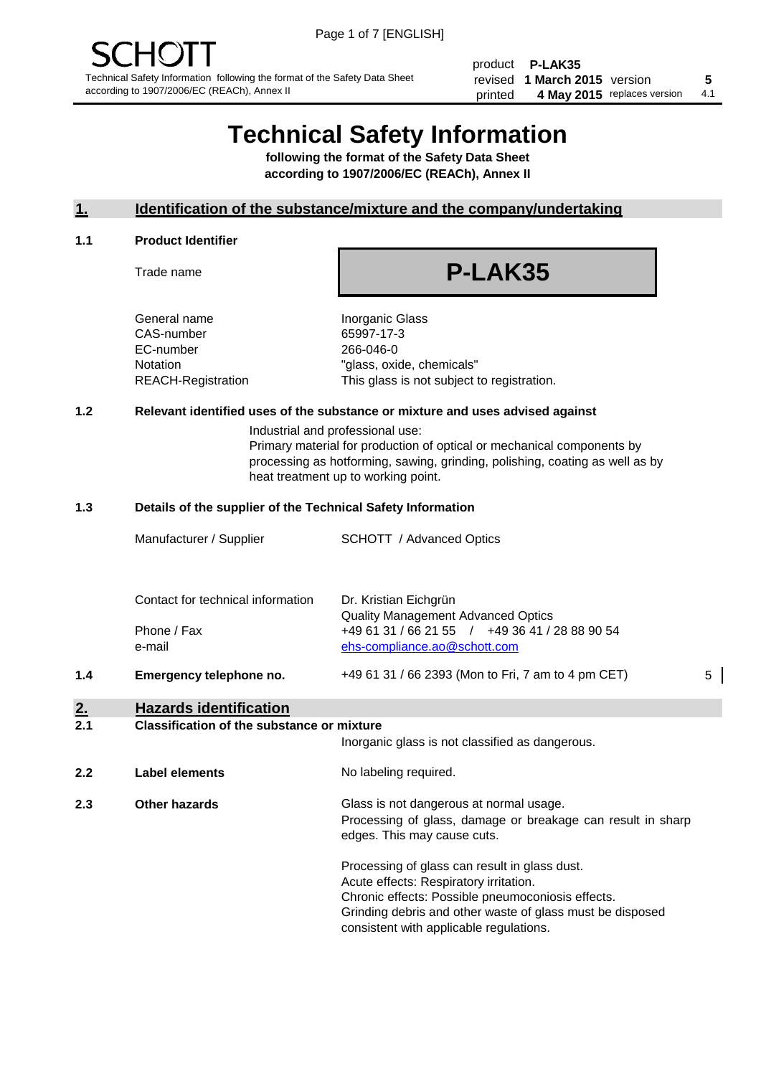product **P-LAK35** revised **5 1 March 2015** version printed 4 May 2015 replaces version 4.1

## **Technical Safety Information**

**following the format of the Safety Data Sheet according to 1907/2006/EC (REACh), Annex II**

#### **1. Identification of the substance/mixture and the company/undertaking**

#### **1.1 Product Identifier**

Trade name

# **P-LAK35**

General name **Inorganic Glass** CAS-number 65997-17-3 EC-number 266-046-0

Notation "glass, oxide, chemicals" REACH-Registration This glass is not subject to registration.

#### **1.2 Relevant identified uses of the substance or mixture and uses advised against**

Industrial and professional use: Primary material for production of optical or mechanical components by processing as hotforming, sawing, grinding, polishing, coating as well as by heat treatment up to working point.

#### **1.3 Details of the supplier of the Technical Safety Information**

|     | Manufacturer / Supplier                                    | <b>SCHOTT</b> / Advanced Optics                                                                                                                      |   |
|-----|------------------------------------------------------------|------------------------------------------------------------------------------------------------------------------------------------------------------|---|
|     | Contact for technical information<br>Phone / Fax<br>e-mail | Dr. Kristian Eichgrün<br><b>Quality Management Advanced Optics</b><br>+49 61 31 / 66 21 55 / +49 36 41 / 28 88 90 54<br>ehs-compliance.ao@schott.com |   |
| 1.4 | Emergency telephone no.                                    | +49 61 31 / 66 2393 (Mon to Fri, 7 am to 4 pm CET)                                                                                                   | 5 |
| 2.  | <b>Hazards identification</b>                              |                                                                                                                                                      |   |

#### **2.1 Classification of the substance or mixture**

| <u>.</u> | oldssinganon of the substance of imature | Inorganic glass is not classified as dangerous.                                                                                                                                                                                                      |
|----------|------------------------------------------|------------------------------------------------------------------------------------------------------------------------------------------------------------------------------------------------------------------------------------------------------|
| 2.2      | Label elements                           | No labeling required.                                                                                                                                                                                                                                |
| 2.3      | Other hazards                            | Glass is not dangerous at normal usage.<br>Processing of glass, damage or breakage can result in sharp<br>edges. This may cause cuts.                                                                                                                |
|          |                                          | Processing of glass can result in glass dust.<br>Acute effects: Respiratory irritation.<br>Chronic effects: Possible pneumoconiosis effects.<br>Grinding debris and other waste of glass must be disposed<br>consistent with applicable regulations. |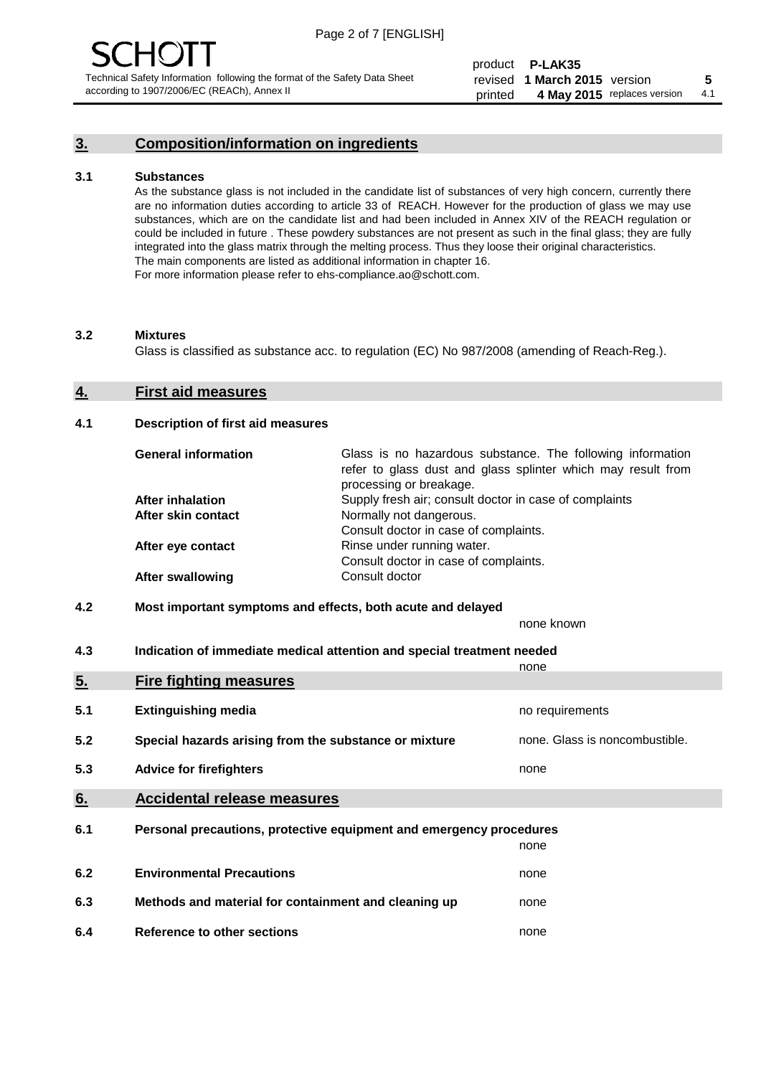## **3. Composition/information on ingredients**

#### **3.1 Substances**

As the substance glass is not included in the candidate list of substances of very high concern, currently there are no information duties according to article 33 of REACH. However for the production of glass we may use substances, which are on the candidate list and had been included in Annex XIV of the REACH regulation or could be included in future . These powdery substances are not present as such in the final glass; they are fully integrated into the glass matrix through the melting process. Thus they loose their original characteristics. The main components are listed as additional information in chapter 16. For more information please refer to ehs-compliance.ao@schott.com.

#### **3.2 Mixtures**

Glass is classified as substance acc. to regulation (EC) No 987/2008 (amending of Reach-Reg.).

#### **4. First aid measures**

#### **4.1 Description of first aid measures**

| <b>General information</b> | Glass is no hazardous substance. The following information<br>refer to glass dust and glass splinter which may result from<br>processing or breakage. |
|----------------------------|-------------------------------------------------------------------------------------------------------------------------------------------------------|
| <b>After inhalation</b>    | Supply fresh air; consult doctor in case of complaints                                                                                                |
| After skin contact         | Normally not dangerous.                                                                                                                               |
|                            | Consult doctor in case of complaints.                                                                                                                 |
| After eye contact          | Rinse under running water.                                                                                                                            |
|                            | Consult doctor in case of complaints.                                                                                                                 |
| <b>After swallowing</b>    | Consult doctor                                                                                                                                        |

#### **4.2 Most important symptoms and effects, both acute and delayed**

none known

**4.3 Indication of immediate medical attention and special treatment needed** 

|     |                                                                     | none                           |
|-----|---------------------------------------------------------------------|--------------------------------|
| 5.  | <b>Fire fighting measures</b>                                       |                                |
| 5.1 | <b>Extinguishing media</b>                                          | no requirements                |
| 5.2 | Special hazards arising from the substance or mixture               | none. Glass is noncombustible. |
| 5.3 | <b>Advice for firefighters</b>                                      | none                           |
| 6.  | <b>Accidental release measures</b>                                  |                                |
| 6.1 | Personal precautions, protective equipment and emergency procedures |                                |
|     |                                                                     | none                           |
| 6.2 | <b>Environmental Precautions</b>                                    | none                           |
| 6.3 | Methods and material for containment and cleaning up                | none                           |
| 6.4 | Reference to other sections                                         | none                           |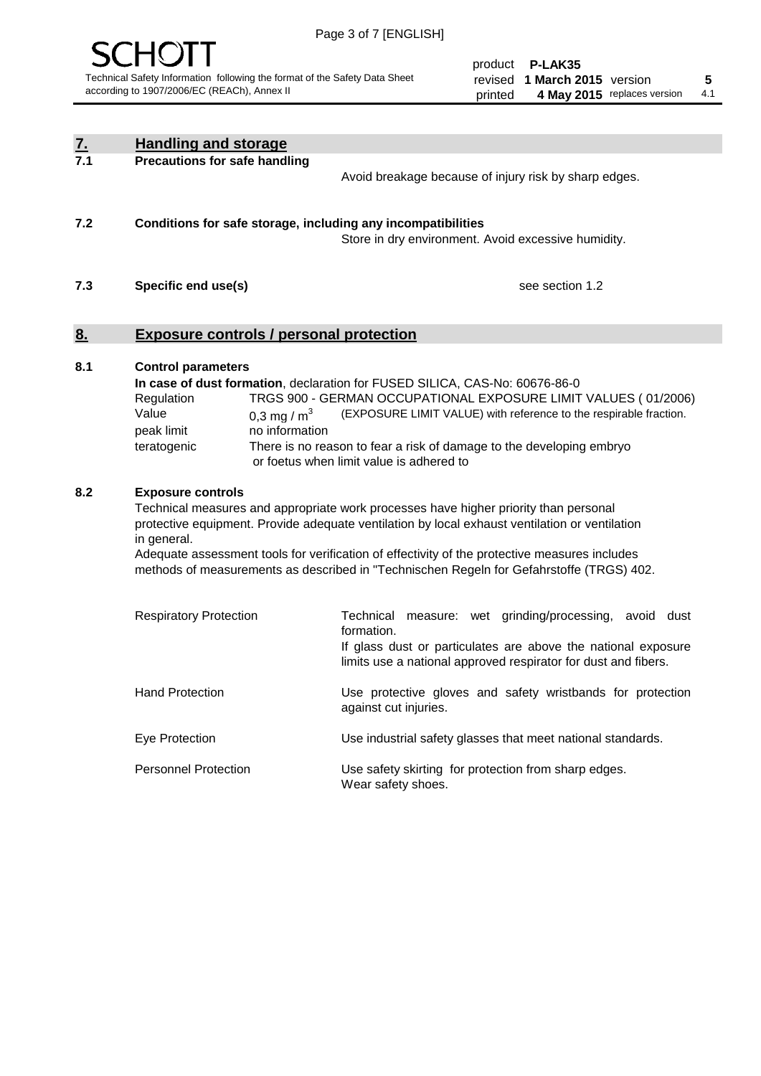

product **P-LAK35** revised **5 1 March 2015** version printed 4 May 2015 replaces version 4.1

| <u>7.</u> | <b>Handling and storage</b>                                                                                      |                                                                                                                                                                                                                                                                                                                                                                                     |
|-----------|------------------------------------------------------------------------------------------------------------------|-------------------------------------------------------------------------------------------------------------------------------------------------------------------------------------------------------------------------------------------------------------------------------------------------------------------------------------------------------------------------------------|
| 7.1       | <b>Precautions for safe handling</b>                                                                             | Avoid breakage because of injury risk by sharp edges.                                                                                                                                                                                                                                                                                                                               |
| 7.2       | Conditions for safe storage, including any incompatibilities                                                     | Store in dry environment. Avoid excessive humidity.                                                                                                                                                                                                                                                                                                                                 |
| 7.3       | Specific end use(s)                                                                                              | see section 1.2                                                                                                                                                                                                                                                                                                                                                                     |
| <u>8.</u> | <b>Exposure controls / personal protection</b>                                                                   |                                                                                                                                                                                                                                                                                                                                                                                     |
| 8.1       | <b>Control parameters</b><br>Regulation<br>Value<br>0.3 mg / $m3$<br>peak limit<br>no information<br>teratogenic | In case of dust formation, declaration for FUSED SILICA, CAS-No: 60676-86-0<br>TRGS 900 - GERMAN OCCUPATIONAL EXPOSURE LIMIT VALUES (01/2006)<br>(EXPOSURE LIMIT VALUE) with reference to the respirable fraction.<br>There is no reason to fear a risk of damage to the developing embryo<br>or foetus when limit value is adhered to                                              |
| 8.2       | <b>Exposure controls</b><br>in general.                                                                          | Technical measures and appropriate work processes have higher priority than personal<br>protective equipment. Provide adequate ventilation by local exhaust ventilation or ventilation<br>Adequate assessment tools for verification of effectivity of the protective measures includes<br>methods of measurements as described in "Technischen Regeln for Gefahrstoffe (TRGS) 402. |
|           | <b>Respiratory Protection</b>                                                                                    | Technical measure: wet grinding/processing, avoid dust<br>formation.<br>If glass dust or particulates are above the national exposure<br>limits use a national approved respirator for dust and fibers.                                                                                                                                                                             |
|           | <b>Hand Protection</b>                                                                                           | Use protective gloves and safety wristbands for protection<br>against cut injuries.                                                                                                                                                                                                                                                                                                 |
|           | Eye Protection                                                                                                   | Use industrial safety glasses that meet national standards.                                                                                                                                                                                                                                                                                                                         |
|           | <b>Personnel Protection</b>                                                                                      | Use safety skirting for protection from sharp edges.<br>Wear safety shoes.                                                                                                                                                                                                                                                                                                          |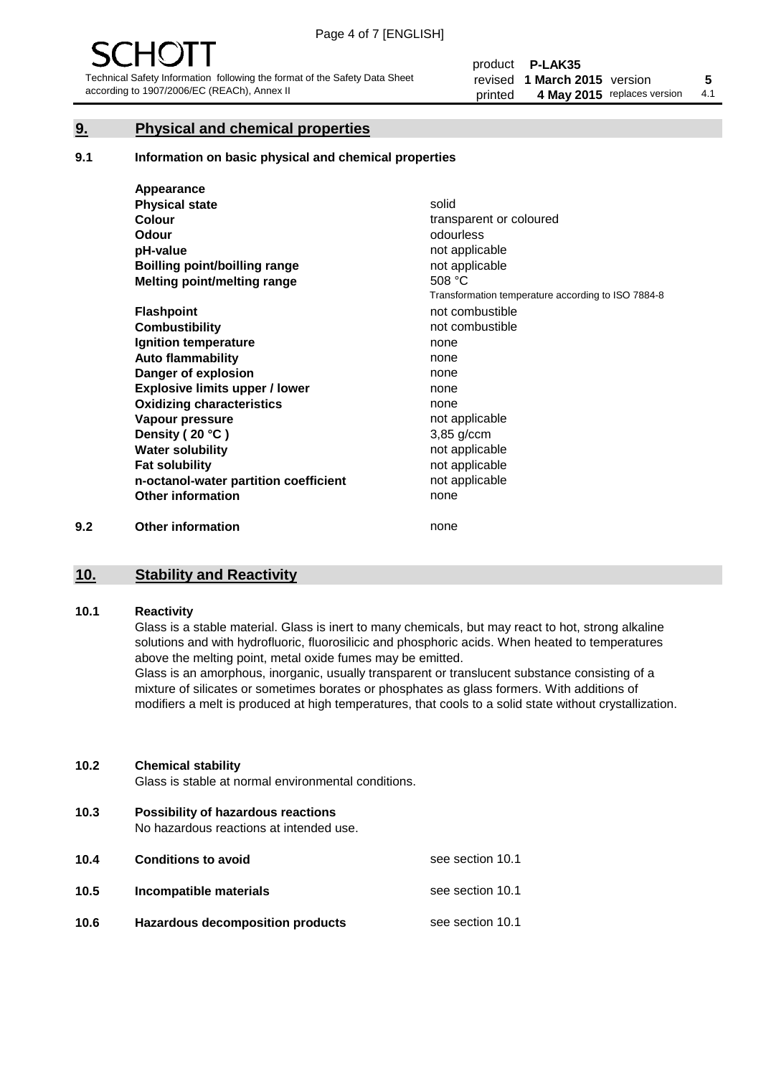#### **9. Physical and chemical properties**

#### **9.1 Information on basic physical and chemical properties**

|     | Appearance                            |                                                    |
|-----|---------------------------------------|----------------------------------------------------|
|     | <b>Physical state</b>                 | solid                                              |
|     | <b>Colour</b>                         | transparent or coloured                            |
|     | <b>Odour</b>                          | odourless                                          |
|     | pH-value                              | not applicable                                     |
|     | Boilling point/boilling range         | not applicable                                     |
|     | Melting point/melting range           | 508 °C                                             |
|     |                                       | Transformation temperature according to ISO 7884-8 |
|     | <b>Flashpoint</b>                     | not combustible                                    |
|     | <b>Combustibility</b>                 | not combustible                                    |
|     | Ignition temperature                  | none                                               |
|     | <b>Auto flammability</b>              | none                                               |
|     | Danger of explosion                   | none                                               |
|     | <b>Explosive limits upper / lower</b> | none                                               |
|     | <b>Oxidizing characteristics</b>      | none                                               |
|     | Vapour pressure                       | not applicable                                     |
|     | Density (20 °C)                       | 3,85 g/ccm                                         |
|     | <b>Water solubility</b>               | not applicable                                     |
|     | <b>Fat solubility</b>                 | not applicable                                     |
|     | n-octanol-water partition coefficient | not applicable                                     |
|     | <b>Other information</b>              | none                                               |
| 9.2 | <b>Other information</b>              | none                                               |

#### **10. Stability and Reactivity**

#### **10.1 Reactivity**

Glass is a stable material. Glass is inert to many chemicals, but may react to hot, strong alkaline solutions and with hydrofluoric, fluorosilicic and phosphoric acids. When heated to temperatures above the melting point, metal oxide fumes may be emitted.

Glass is an amorphous, inorganic, usually transparent or translucent substance consisting of a mixture of silicates or sometimes borates or phosphates as glass formers. With additions of modifiers a melt is produced at high temperatures, that cools to a solid state without crystallization.

#### **10.2 Chemical stability**

Glass is stable at normal environmental conditions.

**10.3 Possibility of hazardous reactions** 

No hazardous reactions at intended use.

| 10.4 | <b>Conditions to avoid</b>              | see section 10.1 |
|------|-----------------------------------------|------------------|
| 10.5 | Incompatible materials                  | see section 10.1 |
| 10.6 | <b>Hazardous decomposition products</b> | see section 10.1 |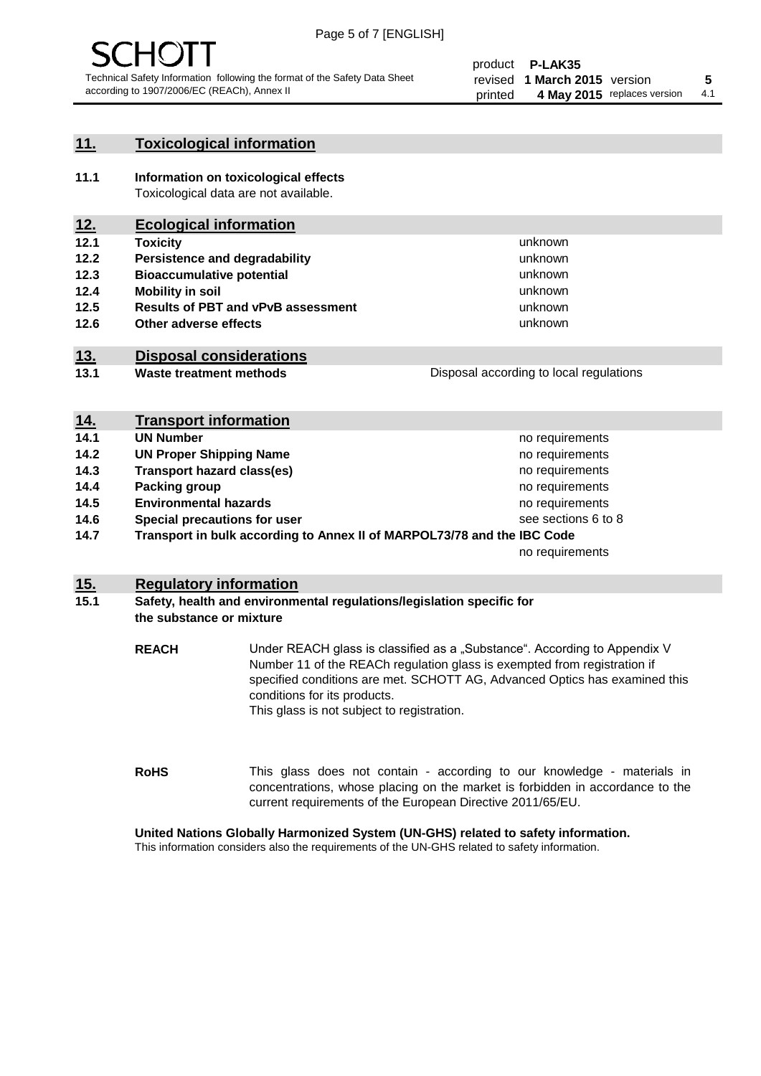

#### **11. Toxicological information**

**11.1 Information on toxicological effects** Toxicological data are not available.

## **12. Ecological information**

- **12.1 Toxicity**
- **12.2 Persistence and degradability**
- **12.3 Bioaccumulative potential**
- **12.4 Mobility in soil**
- **12.5 Results of PBT and vPvB assessment**
- **12.6 Other adverse effects**

#### **13. Disposal considerations**

**13.1 Waste treatment methods**

Disposal according to local regulations

unknown unknown unknown unknown

unknown unknown

| <u>14.</u> | <b>Transport information</b>                                            |                     |
|------------|-------------------------------------------------------------------------|---------------------|
| 14.1       | <b>UN Number</b>                                                        | no requirements     |
| 14.2       | <b>UN Proper Shipping Name</b>                                          | no requirements     |
| 14.3       | <b>Transport hazard class(es)</b>                                       | no requirements     |
| 14.4       | Packing group                                                           | no requirements     |
| 14.5       | <b>Environmental hazards</b>                                            | no requirements     |
| 14.6       | Special precautions for user                                            | see sections 6 to 8 |
| 14.7       | Transport in bulk according to Annex II of MARPOL73/78 and the IBC Code |                     |
|            |                                                                         | no requirements     |

#### **15. Regulatory information**

#### **15.1 Safety, health and environmental regulations/legislation specific for the substance or mixture**

**REACH** Under REACH glass is classified as a "Substance". According to Appendix V Number 11 of the REACh regulation glass is exempted from registration if specified conditions are met. SCHOTT AG, Advanced Optics has examined this conditions for its products. This glass is not subject to registration.

**RoHS** This glass does not contain - according to our knowledge - materials in concentrations, whose placing on the market is forbidden in accordance to the current requirements of the European Directive 2011/65/EU.

#### **United Nations Globally Harmonized System (UN-GHS) related to safety information.**

This information considers also the requirements of the UN-GHS related to safety information.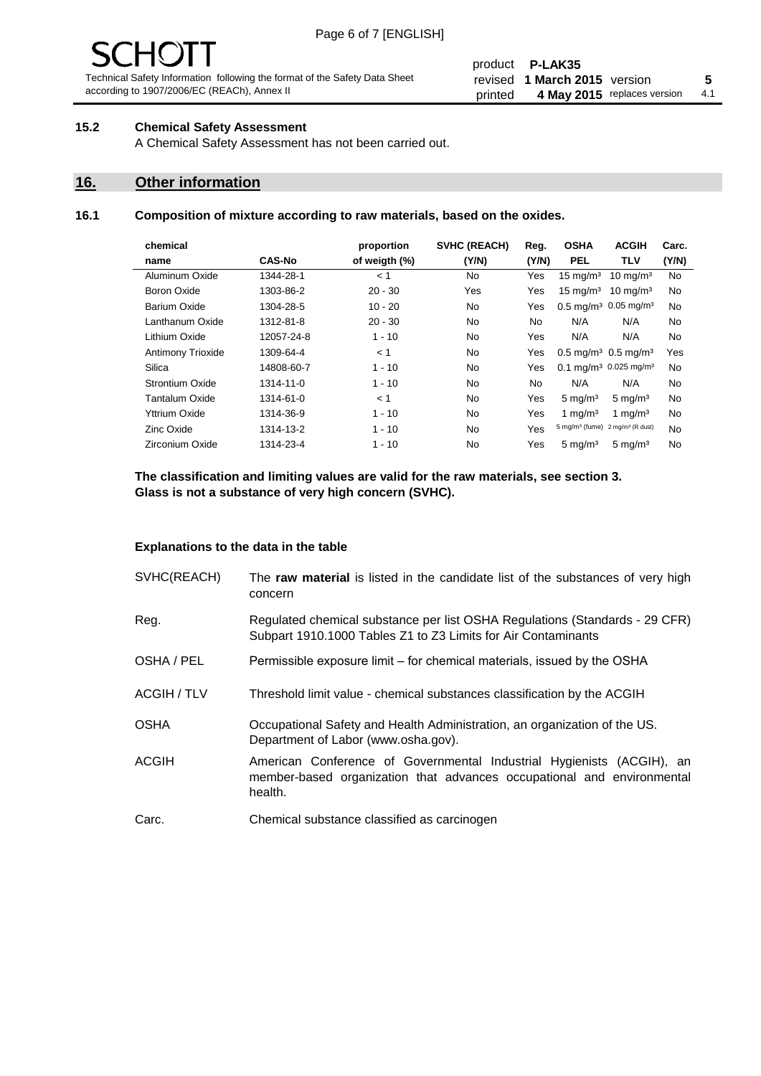# $\mathbf{H}$

Technical Safety Information following the format of the Safety Data Sheet according to 1907/2006/EC (REACh), Annex II

#### product **P-LAK35** revised **5 1 March 2015** version printed 4 May 2015 replaces version 4.1

#### **15.2 Chemical Safety Assessment**

A Chemical Safety Assessment has not been carried out.

#### **16. Other information**

#### **16.1 Composition of mixture according to raw materials, based on the oxides.**

| chemical                 |               | proportion    | <b>SVHC (REACH)</b> | Reg.           | <b>OSHA</b>                                   | <b>ACGIH</b>                 | Carc. |
|--------------------------|---------------|---------------|---------------------|----------------|-----------------------------------------------|------------------------------|-------|
| name                     | <b>CAS-No</b> | of weigth (%) | (Y/N)               | (Y/N)          | <b>PEL</b>                                    | TLV                          | (Y/N) |
| Aluminum Oxide           | 1344-28-1     | < 1           | No.                 | Yes            | $15 \text{ mg/m}^3$                           | $10 \text{ mg/m}^3$          | No    |
| Boron Oxide              | 1303-86-2     | $20 - 30$     | Yes                 | Yes            | $15 \text{ mg/m}^3$                           | $10 \text{ mg/m}^3$          | No    |
| Barium Oxide             | 1304-28-5     | $10 - 20$     | No.                 | Yes            | $0.5 \text{ mg/m}^3$ 0.05 mg/m <sup>3</sup>   |                              | No    |
| Lanthanum Oxide          | 1312-81-8     | $20 - 30$     | No.                 | N <sub>o</sub> | N/A                                           | N/A                          | No    |
| Lithium Oxide            | 12057-24-8    | $1 - 10$      | No.                 | Yes            | N/A                                           | N/A                          | No    |
| <b>Antimony Trioxide</b> | 1309-64-4     | < 1           | No.                 | Yes            | $0.5 \,\mathrm{mq/m^3}$ 0.5 mg/m <sup>3</sup> |                              | Yes   |
| Silica                   | 14808-60-7    | $1 - 10$      | No.                 | Yes            | $0.1 \text{ mg/m}^3$ 0.025 mg/m <sup>3</sup>  |                              | No    |
| Strontium Oxide          | 1314-11-0     | $1 - 10$      | <b>No</b>           | <b>No</b>      | N/A                                           | N/A                          | No    |
| Tantalum Oxide           | 1314-61-0     | < 1           | No.                 | Yes            | $5 \text{ mg/m}^3$                            | $5 \text{ mg/m}^3$           | No    |
| Yttrium Oxide            | 1314-36-9     | $1 - 10$      | No.                 | Yes            | 1 mg/m <sup>3</sup>                           | 1 mg/m <sup>3</sup>          | No    |
| Zinc Oxide               | 1314-13-2     | $1 - 10$      | <b>No</b>           | Yes            | 5 mg/m <sup>3</sup> (fume)                    | 2 mg/m <sup>3</sup> (R dust) | No    |
| Zirconium Oxide          | 1314-23-4     | $1 - 10$      | No.                 | Yes            | $5 \text{ mg/m}^3$                            | $5 \text{ mg/m}^3$           | No    |
|                          |               |               |                     |                |                                               |                              |       |

#### **The classification and limiting values are valid for the raw materials, see section 3. Glass is not a substance of very high concern (SVHC).**

#### **Explanations to the data in the table**

| SVHC(REACH)        | The raw material is listed in the candidate list of the substances of very high<br>concern                                                                 |
|--------------------|------------------------------------------------------------------------------------------------------------------------------------------------------------|
| Reg.               | Regulated chemical substance per list OSHA Regulations (Standards - 29 CFR)<br>Subpart 1910.1000 Tables Z1 to Z3 Limits for Air Contaminants               |
| OSHA / PEL         | Permissible exposure limit – for chemical materials, issued by the OSHA                                                                                    |
| <b>ACGIH / TLV</b> | Threshold limit value - chemical substances classification by the ACGIH                                                                                    |
| <b>OSHA</b>        | Occupational Safety and Health Administration, an organization of the US.<br>Department of Labor (www.osha.gov).                                           |
| <b>ACGIH</b>       | American Conference of Governmental Industrial Hygienists (ACGIH), an<br>member-based organization that advances occupational and environmental<br>health. |
| Carc.              | Chemical substance classified as carcinogen                                                                                                                |